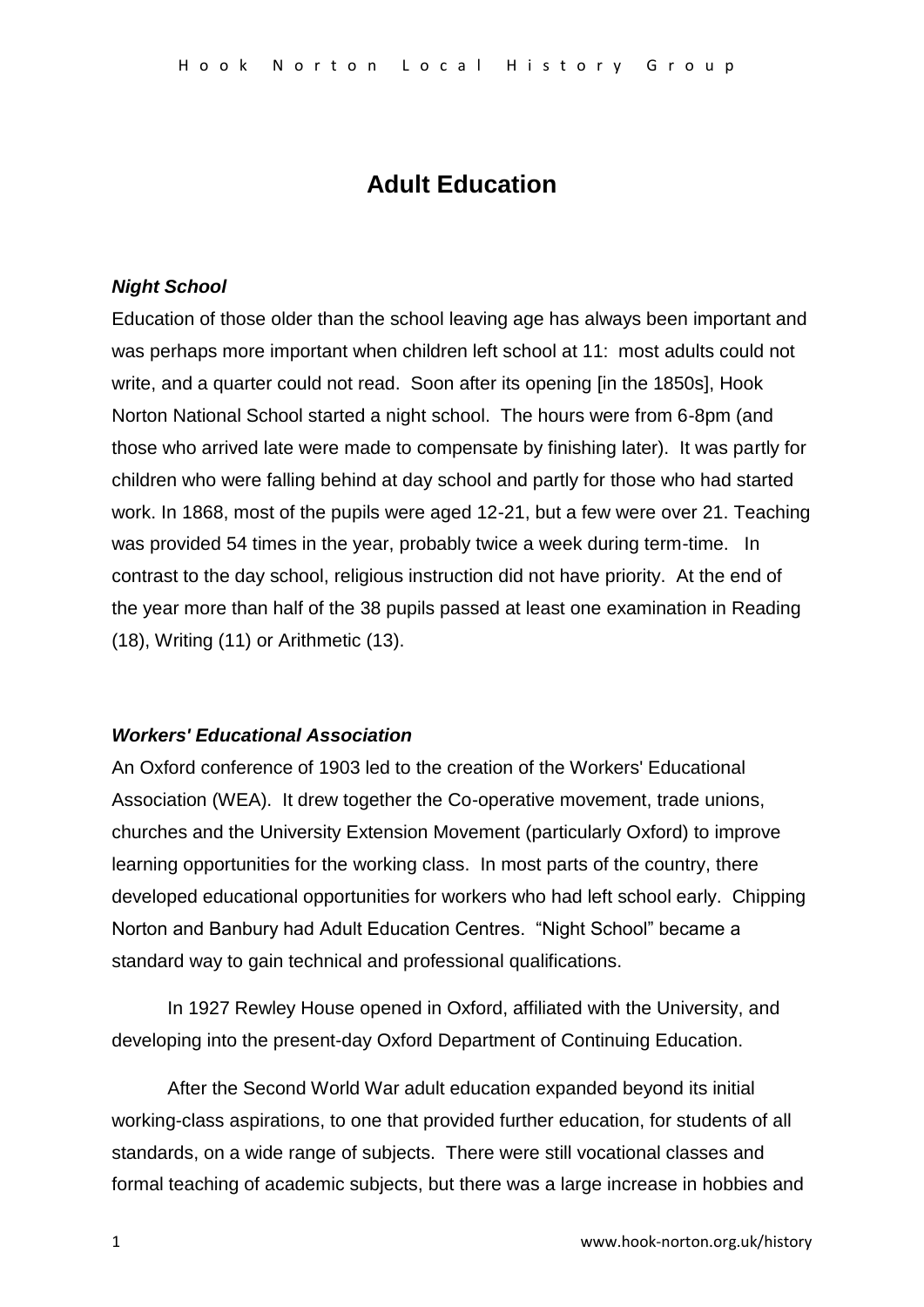# **Adult Education**

## *Night School*

Education of those older than the school leaving age has always been important and was perhaps more important when children left school at 11: most adults could not write, and a quarter could not read. Soon after its opening [in the 1850s], Hook Norton National School started a night school. The hours were from 6-8pm (and those who arrived late were made to compensate by finishing later). It was partly for children who were falling behind at day school and partly for those who had started work. In 1868, most of the pupils were aged 12-21, but a few were over 21. Teaching was provided 54 times in the year, probably twice a week during term-time. In contrast to the day school, religious instruction did not have priority. At the end of the year more than half of the 38 pupils passed at least one examination in Reading (18), Writing (11) or Arithmetic (13).

## *Workers' Educational Association*

An Oxford conference of 1903 led to the creation of the Workers' Educational Association (WEA). It drew together the Co-operative movement, trade unions, churches and the University Extension Movement (particularly Oxford) to improve learning opportunities for the working class. In most parts of the country, there developed educational opportunities for workers who had left school early. Chipping Norton and Banbury had Adult Education Centres. "Night School" became a standard way to gain technical and professional qualifications.

In 1927 Rewley House opened in Oxford, affiliated with the University, and developing into the present-day Oxford Department of Continuing Education.

After the Second World War adult education expanded beyond its initial working-class aspirations, to one that provided further education, for students of all standards, on a wide range of subjects. There were still vocational classes and formal teaching of academic subjects, but there was a large increase in hobbies and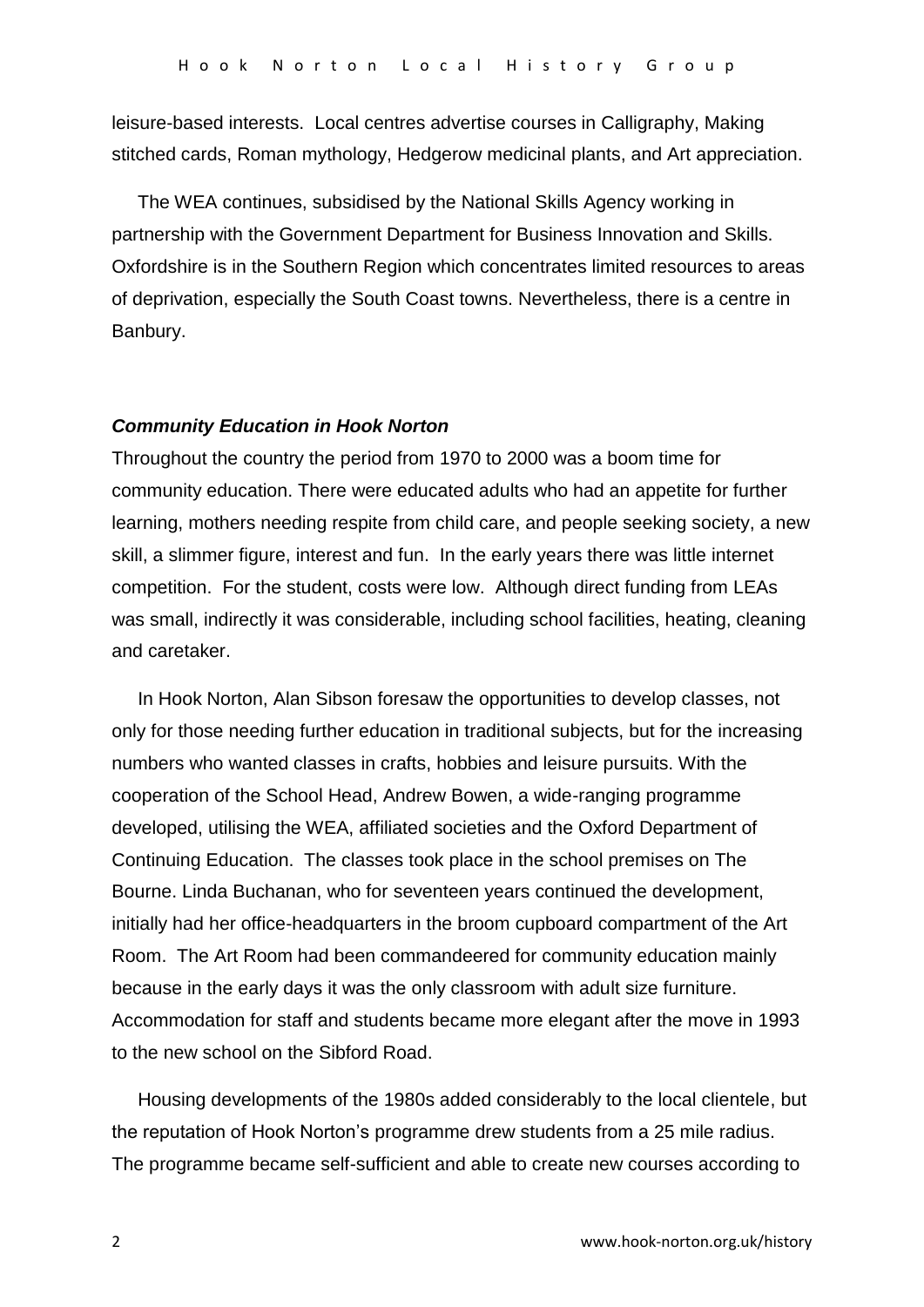leisure-based interests. Local centres advertise courses in Calligraphy, Making stitched cards, Roman mythology, Hedgerow medicinal plants, and Art appreciation.

 The WEA continues, subsidised by the National Skills Agency working in partnership with the Government Department for Business Innovation and Skills. Oxfordshire is in the Southern Region which concentrates limited resources to areas of deprivation, especially the South Coast towns. Nevertheless, there is a centre in Banbury.

### *Community Education in Hook Norton*

Throughout the country the period from 1970 to 2000 was a boom time for community education. There were educated adults who had an appetite for further learning, mothers needing respite from child care, and people seeking society, a new skill, a slimmer figure, interest and fun. In the early years there was little internet competition. For the student, costs were low. Although direct funding from LEAs was small, indirectly it was considerable, including school facilities, heating, cleaning and caretaker.

 In Hook Norton, Alan Sibson foresaw the opportunities to develop classes, not only for those needing further education in traditional subjects, but for the increasing numbers who wanted classes in crafts, hobbies and leisure pursuits. With the cooperation of the School Head, Andrew Bowen, a wide-ranging programme developed, utilising the WEA, affiliated societies and the Oxford Department of Continuing Education. The classes took place in the school premises on The Bourne. Linda Buchanan, who for seventeen years continued the development, initially had her office-headquarters in the broom cupboard compartment of the Art Room. The Art Room had been commandeered for community education mainly because in the early days it was the only classroom with adult size furniture. Accommodation for staff and students became more elegant after the move in 1993 to the new school on the Sibford Road.

 Housing developments of the 1980s added considerably to the local clientele, but the reputation of Hook Norton's programme drew students from a 25 mile radius. The programme became self-sufficient and able to create new courses according to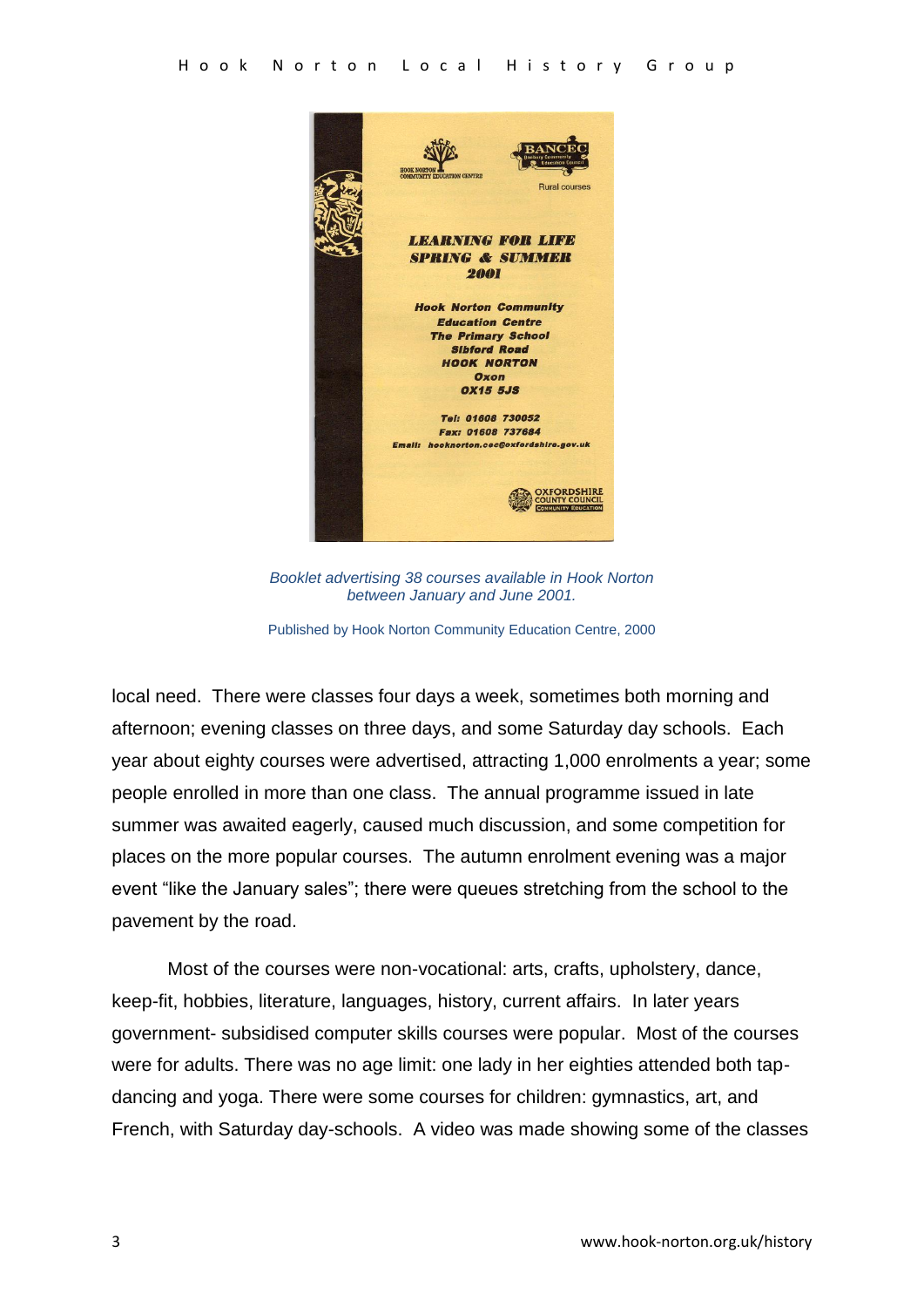

*Booklet advertising 38 courses available in Hook Norton between January and June 2001.*

Published by Hook Norton Community Education Centre, 2000

local need. There were classes four days a week, sometimes both morning and afternoon; evening classes on three days, and some Saturday day schools. Each year about eighty courses were advertised, attracting 1,000 enrolments a year; some people enrolled in more than one class. The annual programme issued in late summer was awaited eagerly, caused much discussion, and some competition for places on the more popular courses. The autumn enrolment evening was a major event "like the January sales"; there were queues stretching from the school to the pavement by the road.

Most of the courses were non-vocational: arts, crafts, upholstery, dance, keep-fit, hobbies, literature, languages, history, current affairs. In later years government- subsidised computer skills courses were popular. Most of the courses were for adults. There was no age limit: one lady in her eighties attended both tapdancing and yoga. There were some courses for children: gymnastics, art, and French, with Saturday day-schools. A video was made showing some of the classes